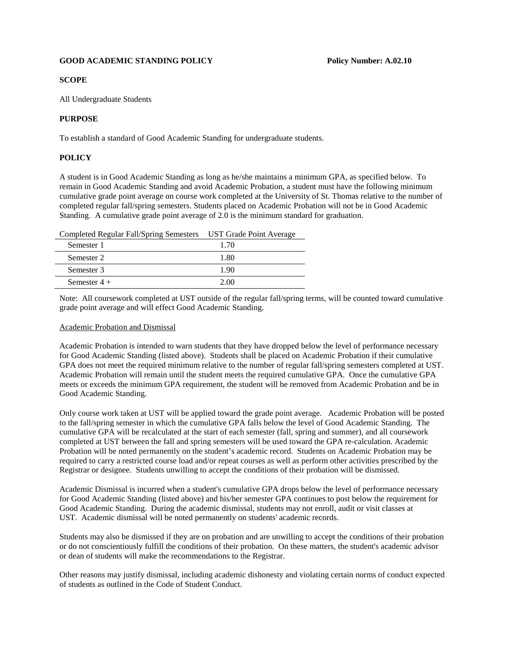## **GOOD ACADEMIC STANDING POLICY POLICY** Policy Number: A.02.10

## **SCOPE**

All Undergraduate Students

## **PURPOSE**

To establish a standard of Good Academic Standing for undergraduate students.

# **POLICY**

A student is in Good Academic Standing as long as he/she maintains a minimum GPA, as specified below. To remain in Good Academic Standing and avoid Academic Probation, a student must have the following minimum cumulative grade point average on course work completed at the University of St. Thomas relative to the number of completed regular fall/spring semesters. Students placed on Academic Probation will not be in Good Academic Standing. A cumulative grade point average of 2.0 is the minimum standard for graduation.

| <b>Completed Regular Fall/Spring Semesters</b> | UST Grade Point Average |
|------------------------------------------------|-------------------------|
|                                                |                         |

| Semester 1     | 1.70 |
|----------------|------|
| Semester 2     | 1.80 |
| Semester 3     | 1.90 |
| Semester $4 +$ | 2.00 |

Note: All coursework completed at UST outside of the regular fall/spring terms, will be counted toward cumulative grade point average and will effect Good Academic Standing.

## Academic Probation and Dismissal

Academic Probation is intended to warn students that they have dropped below the level of performance necessary for Good Academic Standing (listed above). Students shall be placed on Academic Probation if their cumulative GPA does not meet the required minimum relative to the number of regular fall/spring semesters completed at UST. Academic Probation will remain until the student meets the required cumulative GPA. Once the cumulative GPA meets or exceeds the minimum GPA requirement, the student will be removed from Academic Probation and be in Good Academic Standing.

Only course work taken at UST will be applied toward the grade point average. Academic Probation will be posted to the fall/spring semester in which the cumulative GPA falls below the level of Good Academic Standing. The cumulative GPA will be recalculated at the start of each semester (fall, spring and summer), and all coursework completed at UST between the fall and spring semesters will be used toward the GPA re-calculation. Academic Probation will be noted permanently on the student's academic record. Students on Academic Probation may be required to carry a restricted course load and/or repeat courses as well as perform other activities prescribed by the Registrar or designee. Students unwilling to accept the conditions of their probation will be dismissed.

Academic Dismissal is incurred when a student's cumulative GPA drops below the level of performance necessary for Good Academic Standing (listed above) and his/her semester GPA continues to post below the requirement for Good Academic Standing. During the academic dismissal, students may not enroll, audit or visit classes at UST. Academic dismissal will be noted permanently on students' academic records.

Students may also be dismissed if they are on probation and are unwilling to accept the conditions of their probation or do not conscientiously fulfill the conditions of their probation. On these matters, the student's academic advisor or dean of students will make the recommendations to the Registrar.

Other reasons may justify dismissal, including academic dishonesty and violating certain norms of conduct expected of students as outlined in the Code of Student Conduct.